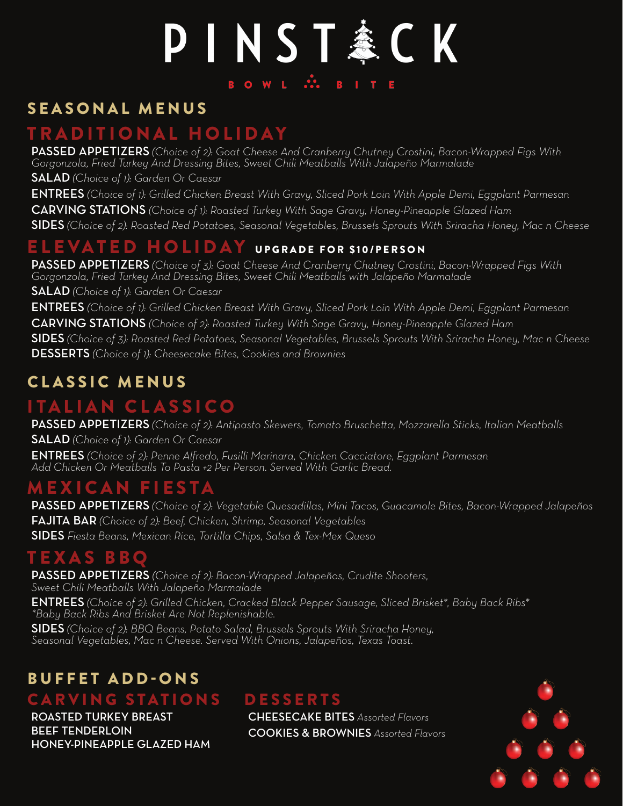# PINST&CK BOWL ... BITE

### SEASONAL MENUS

### TRADITIONAL HOLIDAY

PASSED APPETIZERS *(Choice of 2): Goat Cheese And Cranberry Chutney Crostini, Bacon-Wrapped Figs With Gorgonzola, Fried Turkey And Dressing Bites, Sweet Chili Meatballs With Jalapeño Marmalade* SALAD *(Choice of 1): Garden Or Caesar*

ENTREES *(Choice of 1): Grilled Chicken Breast With Gravy, Sliced Pork Loin With Apple Demi, Eggplant Parmesan* CARVING STATIONS *(Choice of 1): Roasted Turkey With Sage Gravy, Honey-Pineapple Glazed Ham* SIDES *(Choice of 2): Roasted Red Potatoes, Seasonal Vegetables, Brussels Sprouts With Sriracha Honey, Mac n Cheese*

### ELEVATED HOLIDAY UPGRADE FOR \$10/PERSON

PASSED APPETIZERS *(Choice of 3): Goat Cheese And Cranberry Chutney Crostini, Bacon-Wrapped Figs With Gorgonzola, Fried Turkey And Dressing Bites, Sweet Chili Meatballs with Jalapeño Marmalade* SALAD *(Choice of 1): Garden Or Caesar*

ENTREES *(Choice of 1): Grilled Chicken Breast With Gravy, Sliced Pork Loin With Apple Demi, Eggplant Parmesan* CARVING STATIONS *(Choice of 2): Roasted Turkey With Sage Gravy, Honey-Pineapple Glazed Ham* SIDES *(Choice of 3): Roasted Red Potatoes, Seasonal Vegetables, Brussels Sprouts With Sriracha Honey, Mac n Cheese* DESSERTS *(Choice of 1): Cheesecake Bites, Cookies and Brownies*

### CLASSIC MENUS

### ITALIAN CLASSICO

PASSED APPETIZERS *(Choice of 2): Antipasto Skewers, Tomato Bruschetta, Mozzarella Sticks, Italian Meatballs* SALAD *(Choice of 1): Garden Or Caesar* ENTREES *(Choice of 2): Penne Alfredo, Fusilli Marinara, Chicken Cacciatore, Eggplant Parmesan Add Chicken Or Meatballs To Pasta +2 Per Person. Served With Garlic Bread.*

### MEXICAN FIESTA

PASSED APPETIZERS *(Choice of 2): Vegetable Quesadillas, Mini Tacos, Guacamole Bites, Bacon-Wrapped Jalapeños* FAJITA BAR *(Choice of 2): Beef, Chicken, Shrimp, Seasonal Vegetables* SIDES *Fiesta Beans, Mexican Rice, Tortilla Chips, Salsa & Tex-Mex Queso*

### TEXAS BBQ

PASSED APPETIZERS *(Choice of 2): Bacon-Wrapped Jalapeños, Crudite Shooters, Sweet Chili Meatballs With Jalapeño Marmalade* ENTREES *(Choice of 2): Grilled Chicken, Cracked Black Pepper Sausage, Sliced Brisket\*, Baby Back Ribs\* \*Baby Back Ribs And Brisket Are Not Replenishable.*

SIDES *(Choice of 2): BBQ Beans, Potato Salad, Brussels Sprouts With Sriracha Honey, Seasonal Vegetables, Mac n Cheese. Served With Onions, Jalapeños, Texas Toast.*

## BUFFET ADD-ONS

### CARVING STATIONS DESSERTS

ROASTED TURKEY BREAST BEEF TENDERLOIN HONEY-PINEAPPLE GLAZED HAM

CHEESECAKE BITES *Assorted Flavors* COOKIES & BROWNIES *Assorted Flavors*

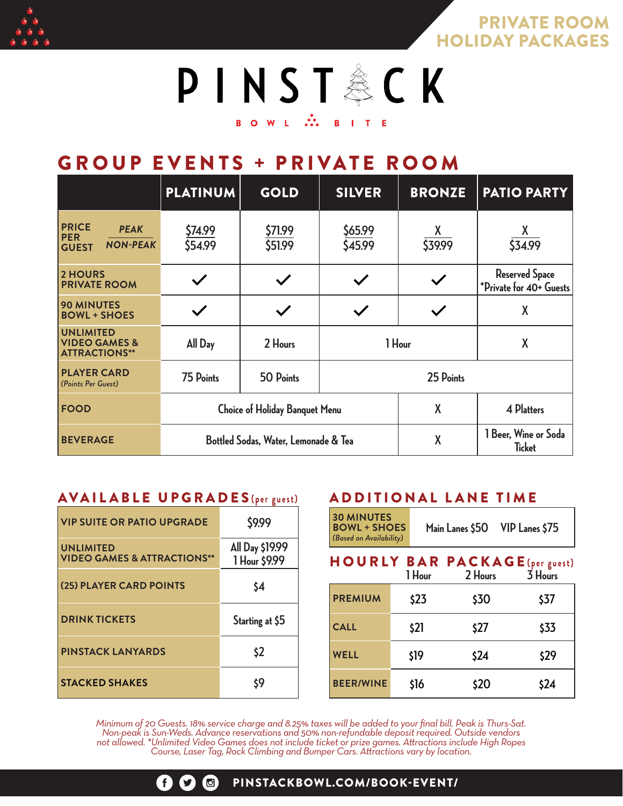

PRIVATE ROOM HOLIDAY PACKAGES

PINST&CK **BOWL** N. BITE

### GROUP EVENTS + PRIVATE ROOM

|                                                                              | <b>PLATINUM</b>                       | <b>GOLD</b>        | <b>SILVER</b>      | <b>BRONZE</b> | <b>PATIO PARTY</b>                               |
|------------------------------------------------------------------------------|---------------------------------------|--------------------|--------------------|---------------|--------------------------------------------------|
| <b>PRICE</b><br><b>PEAK</b><br><b>PER</b><br><b>NON-PEAK</b><br><b>GUEST</b> | \$74.99<br>\$54.99                    | \$71.99<br>\$51.99 | \$65.99<br>\$45.99 | X.<br>\$39.99 | X<br>534.99                                      |
| <b>2 HOURS</b><br><b>PRIVATE ROOM</b>                                        | $\checkmark$                          | $\checkmark$       |                    |               | <b>Reserved Space</b><br>*Private for 40+ Guests |
| <b>90 MINUTES</b><br><b>BOWL + SHOES</b>                                     |                                       |                    |                    |               | X                                                |
| <b>UNLIMITED</b><br><b>VIDEO GAMES &amp;</b><br><b>ATTRACTIONS**</b>         | All Day                               | 2 Hours            | 1 Hour             |               | X                                                |
| <b>PLAYER CARD</b><br>(Points Per Guest)                                     | 75 Points                             | 50 Points          | 25 Points          |               |                                                  |
| <b>FOOD</b>                                                                  | <b>Choice of Holiday Banquet Menu</b> |                    |                    | X             | <b>4 Platters</b>                                |
| <b>BEVERAGE</b>                                                              | Bottled Sodas, Water, Lemonade & Tea  |                    |                    | X             | 1 Beer, Wine or Soda<br><b>Ticket</b>            |

#### AVAILABLE UPGRADES **(per guest)**

| <b>VIP SUITE OR PATIO UPGRADE</b>                          | \$9.99                           |
|------------------------------------------------------------|----------------------------------|
| <b>UNLIMITED</b><br><b>VIDEO GAMES &amp; ATTRACTIONS**</b> | All Day \$19.99<br>1 Hour \$9.99 |
| (25) PLAYER CARD POINTS                                    | \$4                              |
| <b>DRINK TICKETS</b>                                       | Starting at \$5                  |
| <b>PINSTACK LANYARDS</b>                                   | \$2                              |
| <b>STACKED SHAKES</b>                                      | \$9                              |

#### ADDITIONAL LANE TIME

#### HOURLY BAR PACKAGE **(per guest) 1 Hour 2 Hours 3 Hours**

|                  | т гтоиг | ∠ ⊓∪uı s | J FIUUI S |
|------------------|---------|----------|-----------|
| <b>PREMIUM</b>   | \$23    | \$30     | \$37      |
| <b>CALL</b>      | \$21    | \$27     | \$33      |
| <b>WELL</b>      | \$19    | \$24     | \$29      |
| <b>BEER/WINE</b> | \$16    | \$20     | \$24      |

*Minimum of 20 Guests. 18% service charge and 8.25% taxes will be added to your final bill. Peak is Thurs-Sat. Non-peak is Sun-Weds. Advance reservations and 50% non-refundable deposit required. Outside vendors not allowed. \*Unlimited Video Games does not include ticket or prize games. Attractions include High Ropes Course, Laser Tag, Rock Climbing and Bumper Cars. Attractions vary by location.*

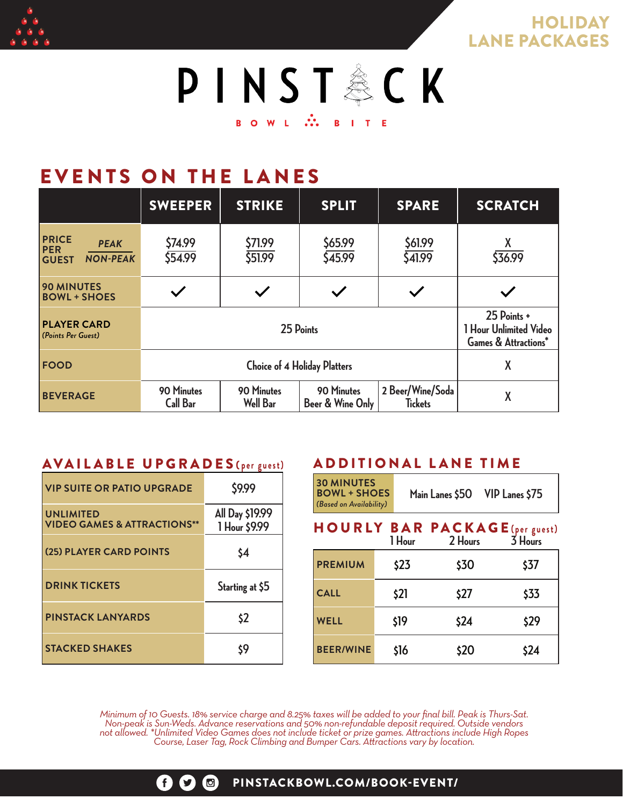

**HOLIDAY** LANE PACKAGES



## EVENTS ON THE LANES

|                                                                       | <b>SWEEPER</b>                      | <b>STRIKE</b>                 | <b>SPLIT</b>                   | <b>SPARE</b>                       | <b>SCRATCH</b>                                                           |
|-----------------------------------------------------------------------|-------------------------------------|-------------------------------|--------------------------------|------------------------------------|--------------------------------------------------------------------------|
| <b>PRICE</b><br>PER<br><b>PEAK</b><br><b>NON-PEAK</b><br><b>GUEST</b> | \$74.99<br>554.99                   | \$71.99<br>\$51.99            | \$65.99<br>\$45.99             | \$61.99<br>\$41.99                 | X<br>\$36.99                                                             |
| <b>90 MINUTES</b><br><b>BOWL + SHOES</b>                              |                                     |                               |                                |                                    |                                                                          |
| <b>PLAYER CARD</b><br>(Points Per Guest)                              | 25 Points                           |                               |                                |                                    | 25 Points +<br>1 Hour Unlimited Video<br><b>Games &amp; Attractions*</b> |
| <b>FOOD</b>                                                           | <b>Choice of 4 Holiday Platters</b> |                               |                                |                                    | X                                                                        |
| <b>BEVERAGE</b>                                                       | 90 Minutes<br><b>Call Bar</b>       | 90 Minutes<br><b>Well Bar</b> | 90 Minutes<br>Beer & Wine Only | 2 Beer/Wine/Soda<br><b>Tickets</b> | X                                                                        |

#### AVAILABLE UPGRADES **( per guest)**

| <b>VIP SUITE OR PATIO UPGRADE</b>                          | \$9.99                           |
|------------------------------------------------------------|----------------------------------|
| <b>UNLIMITED</b><br><b>VIDEO GAMES &amp; ATTRACTIONS**</b> | All Day \$19.99<br>1 Hour \$9.99 |
| (25) PLAYER CARD POINTS                                    | \$4                              |
| <b>DRINK TICKETS</b>                                       | Starting at \$5                  |
| <b>PINSTACK LANYARDS</b>                                   | \$2                              |
| <b>STACKED SHAKES</b>                                      | \$9                              |

#### ADDITIONAL LANE TIME

| <b>30 MINUTES</b><br><b>BOWL + SHOES</b><br>(Based on Availability) |        | VIP Lanes \$75<br>Main Lanes \$50                |         |  |
|---------------------------------------------------------------------|--------|--------------------------------------------------|---------|--|
|                                                                     | 1 Hour | <b>HOURLY BAR PACKAGE</b> (per guest)<br>2 Hours | 3 Hours |  |
| <b>PREMIUM</b>                                                      | \$23   | \$30                                             | \$37    |  |
| <b>CALL</b>                                                         | \$21   | \$27                                             | \$33    |  |
| <b>WELL</b>                                                         | \$19   | \$24                                             | \$29    |  |
| <b>BEER/WINE</b>                                                    | \$16   | \$20                                             | \$24    |  |

*Minimum of 10 Guests. 18% service charge and 8.25% taxes will be added to your final bill. Peak is Thurs-Sat. Non-peak is Sun-Weds. Advance reservations and 50% non-refundable deposit required. Outside vendors not allowed. \*Unlimited Video Games does not include ticket or prize games. Attractions include High Ropes Course, Laser Tag, Rock Climbing and Bumper Cars. Attractions vary by location.*